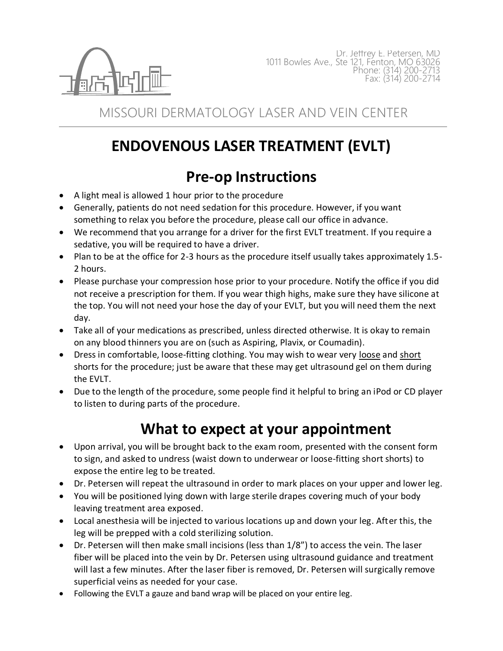

MISSOURI DERMATOLOGY LASER AND VEIN CENTER

## **ENDOVENOUS LASER TREATMENT (EVLT)**

## **Pre-op Instructions**

- A light meal is allowed 1 hour prior to the procedure
- Generally, patients do not need sedation for this procedure. However, if you want something to relax you before the procedure, please call our office in advance.
- We recommend that you arrange for a driver for the first EVLT treatment. If you require a sedative, you will be required to have a driver.
- Plan to be at the office for 2-3 hours as the procedure itself usually takes approximately 1.5- 2 hours.
- Please purchase your compression hose prior to your procedure. Notify the office if you did not receive a prescription for them. If you wear thigh highs, make sure they have silicone at the top. You will not need your hose the day of your EVLT, but you will need them the next day.
- Take all of your medications as prescribed, unless directed otherwise. It is okay to remain on any blood thinners you are on (such as Aspiring, Plavix, or Coumadin).
- Dress in comfortable, loose-fitting clothing. You may wish to wear very loose and short shorts for the procedure; just be aware that these may get ultrasound gel on them during the EVLT.
- Due to the length of the procedure, some people find it helpful to bring an iPod or CD player to listen to during parts of the procedure.

## **What to expect at your appointment**

- Upon arrival, you will be brought back to the exam room, presented with the consent form to sign, and asked to undress (waist down to underwear or loose-fitting short shorts) to expose the entire leg to be treated.
- Dr. Petersen will repeat the ultrasound in order to mark places on your upper and lower leg.
- You will be positioned lying down with large sterile drapes covering much of your body leaving treatment area exposed.
- Local anesthesia will be injected to various locations up and down your leg. After this, the leg will be prepped with a cold sterilizing solution.
- Dr. Petersen will then make small incisions (less than 1/8") to access the vein. The laser fiber will be placed into the vein by Dr. Petersen using ultrasound guidance and treatment will last a few minutes. After the laser fiber is removed, Dr. Petersen will surgically remove superficial veins as needed for your case.
- Following the EVLT a gauze and band wrap will be placed on your entire leg.